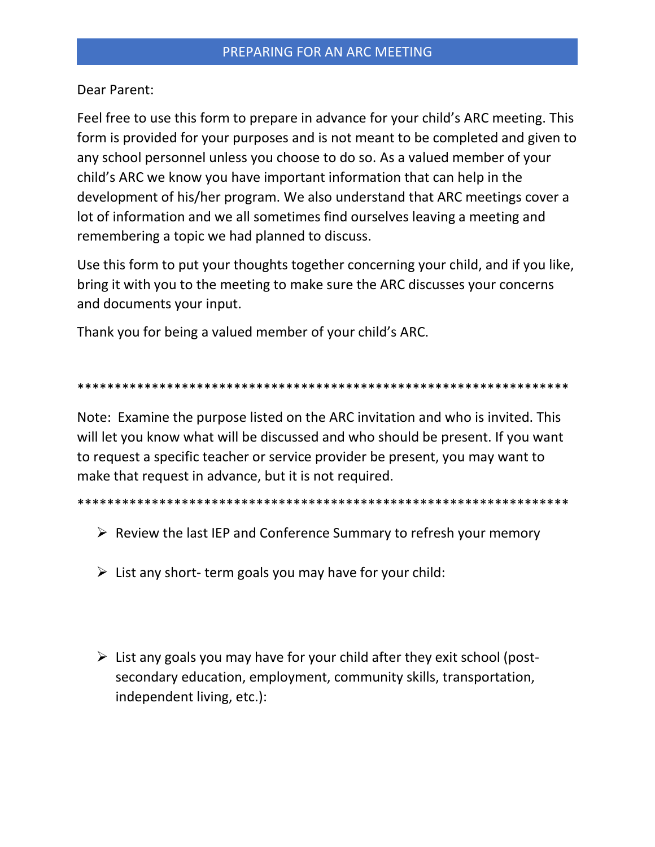Dear Parent:

Feel free to use this form to prepare in advance for your child's ARC meeting. This form is provided for your purposes and is not meant to be completed and given to any school personnel unless you choose to do so. As a valued member of your child's ARC we know you have important information that can help in the development of his/her program. We also understand that ARC meetings cover a lot of information and we all sometimes find ourselves leaving a meeting and remembering a topic we had planned to discuss.

Use this form to put your thoughts together concerning your child, and if you like, bring it with you to the meeting to make sure the ARC discusses your concerns and documents your input.

Thank you for being a valued member of your child's ARC.

## 

Note: Examine the purpose listed on the ARC invitation and who is invited. This will let you know what will be discussed and who should be present. If you want to request a specific teacher or service provider be present, you may want to make that request in advance, but it is not required.

- $\triangleright$  Review the last IEP and Conference Summary to refresh your memory
- $\triangleright$  List any short-term goals you may have for your child:
- $\triangleright$  List any goals you may have for your child after they exit school (postsecondary education, employment, community skills, transportation, independent living, etc.):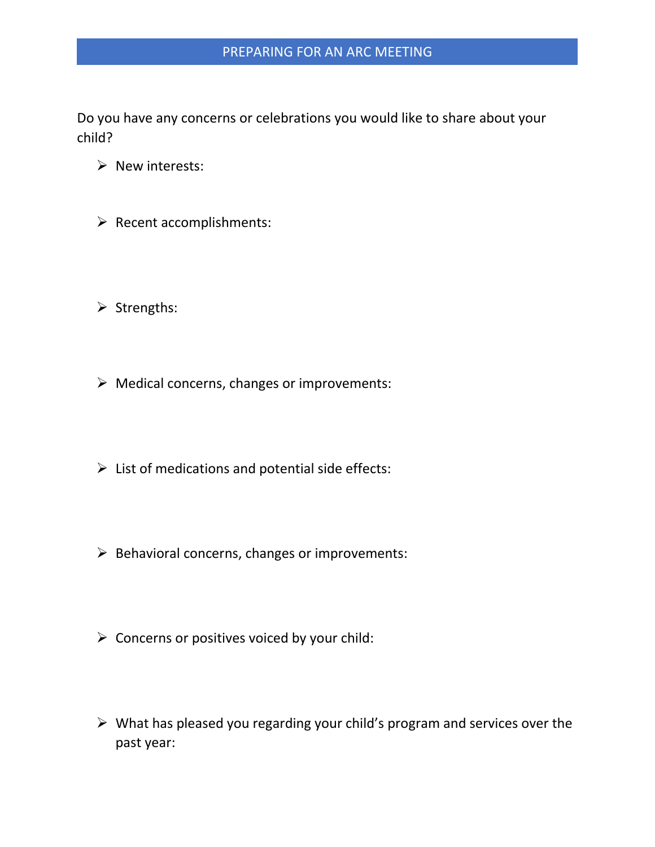Do you have any concerns or celebrations you would like to share about your child?

- ➢ New interests:
- ➢ Recent accomplishments:
- ➢ Strengths:
- ➢ Medical concerns, changes or improvements:
- $\triangleright$  List of medications and potential side effects:
- $\triangleright$  Behavioral concerns, changes or improvements:
- $\triangleright$  Concerns or positives voiced by your child:
- ➢ What has pleased you regarding your child's program and services over the past year: